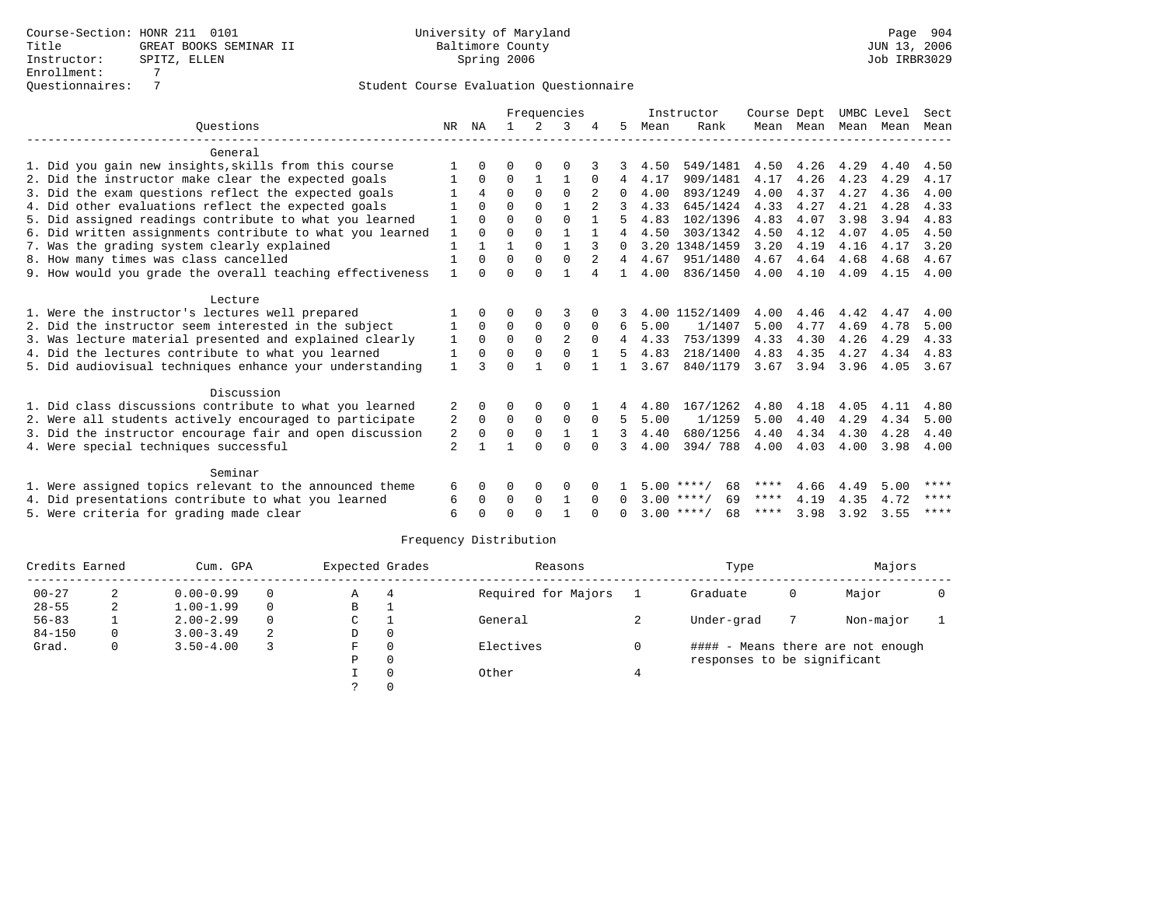|                                                           |              |             |          |             | Frequencies  |                |                |      | Instructor         | Course Dept |           | UMBC Level |      | Sect        |
|-----------------------------------------------------------|--------------|-------------|----------|-------------|--------------|----------------|----------------|------|--------------------|-------------|-----------|------------|------|-------------|
| Ouestions                                                 | NR           | ΝA          |          |             | κ            |                | 5.             | Mean | Rank               |             | Mean Mean | Mean       | Mean | Mean        |
| General                                                   |              |             |          |             |              |                |                |      |                    |             |           |            |      |             |
| 1. Did you gain new insights, skills from this course     |              | $\Omega$    | O        | $\Omega$    |              |                |                | 4.50 | 549/1481           | 4.50        | 4.26      | 4.29       | 4.40 | 4.50        |
| 2. Did the instructor make clear the expected goals       |              | $\Omega$    | $\Omega$ |             |              | $\Omega$       | 4              | 4.17 | 909/1481           | 4.17        | 4.26      | 4.23       | 4.29 | 4.17        |
| 3. Did the exam questions reflect the expected goals      |              | 4           | $\Omega$ | $\Omega$    | $\Omega$     |                | $\Omega$       | 4.00 | 893/1249           | 4.00        | 4.37      | 4.27       | 4.36 | 4.00        |
| 4. Did other evaluations reflect the expected goals       |              | $\Omega$    | $\Omega$ | $\Omega$    |              |                |                | 4.33 | 645/1424           | 4.33        | 4.27      | 4.21       | 4.28 | 4.33        |
| 5. Did assigned readings contribute to what you learned   | 1            | $\cap$      | $\Omega$ | $\Omega$    | $\Omega$     |                |                | 4.83 | 102/1396           | 4.83        | 4.07      | 3.98       | 3.94 | 4.83        |
| 6. Did written assignments contribute to what you learned | 1            | $\Omega$    | $\Omega$ | $\Omega$    |              |                | 4              | 4.50 | 303/1342           | 4.50        | 4.12      | 4.07       | 4.05 | 4.50        |
| 7. Was the grading system clearly explained               | 1            |             |          | $\Omega$    | $\mathbf{1}$ |                | $\Omega$       |      | 3.20 1348/1459     | 3.20        | 4.19      | 4.16       | 4.17 | 3.20        |
| 8. How many times was class cancelled                     | $\mathbf{1}$ | $\Omega$    | $\Omega$ | $\Omega$    | $\Omega$     | $\overline{a}$ | 4              | 4.67 | 951/1480           | 4.67        | 4.64      | 4.68       | 4.68 | 4.67        |
| 9. How would you grade the overall teaching effectiveness | $\mathbf{1}$ | $\cap$      | $\cap$   | $\cap$      |              | 4              | $\mathbf{1}$   | 4.00 | 836/1450           | 4.00        | 4.10      | 4.09       | 4.15 | 4.00        |
| Lecture                                                   |              |             |          |             |              |                |                |      |                    |             |           |            |      |             |
| 1. Were the instructor's lectures well prepared           |              | $\Omega$    | O        | $\Omega$    | 3            |                |                |      | 4.00 1152/1409     | 4.00        | 4.46      | 4.42       | 4.47 | 4.00        |
| 2. Did the instructor seem interested in the subject      | 1            | $\Omega$    | $\Omega$ | $\Omega$    | $\Omega$     | $\Omega$       | 6              | 5.00 | 1/1407             | 5.00        | 4.77      | 4.69       | 4.78 | 5.00        |
| 3. Was lecture material presented and explained clearly   | 1            | $\Omega$    | $\Omega$ | $\Omega$    | 2            | $\Omega$       | $\overline{4}$ | 4.33 | 753/1399           | 4.33        | 4.30      | 4.26       | 4.29 | 4.33        |
| 4. Did the lectures contribute to what you learned        | 1            | $\Omega$    | $\Omega$ | $\Omega$    | $\Omega$     |                | 5              | 4.83 | 218/1400           | 4.83        | 4.35      | 4.27       | 4.34 | 4.83        |
| 5. Did audiovisual techniques enhance your understanding  | $\mathbf{1}$ |             | $\Omega$ |             | $\Omega$     |                |                | 3.67 | 840/1179           | 3.67        | 3.94      | 3.96       | 4.05 | 3.67        |
| Discussion                                                |              |             |          |             |              |                |                |      |                    |             |           |            |      |             |
| 1. Did class discussions contribute to what you learned   | 2            | $\Omega$    | $\Omega$ | 0           | $\Omega$     |                | 4              | 4.80 | 167/1262           | 4.80        | 4.18      | 4.05       | 4.11 | 4.80        |
| 2. Were all students actively encouraged to participate   | 2            | $\mathbf 0$ | 0        | $\mathbf 0$ | $\mathbf 0$  | $\Omega$       | .5             | 5.00 | 1/1259             | 5.00        | 4.40      | 4.29       | 4.34 | 5.00        |
| 3. Did the instructor encourage fair and open discussion  | 2            | $\Omega$    | $\Omega$ | $\mathbf 0$ |              |                | 3              | 4.40 | 680/1256           | 4.40        | 4.34      | 4.30       | 4.28 | 4.40        |
| 4. Were special techniques successful                     | 2            |             | 1        | $\cap$      | $\Omega$     | $\cap$         | 3              | 4.00 | 394/788            | 4.00        | 4.03      | 4.00       | 3.98 | 4.00        |
| Seminar                                                   |              |             |          |             |              |                |                |      |                    |             |           |            |      |             |
| 1. Were assigned topics relevant to the announced theme   | 6            | $\Omega$    | $\Omega$ | 0           | 0            |                |                |      | 68<br>$5.00$ ****/ | ****        | 4.66      | 4.49       | 5.00 | ****        |
| 4. Did presentations contribute to what you learned       | 6            | $\Omega$    | 0        | $\mathbf 0$ | $\mathbf{1}$ | $\Omega$       | $\Omega$       |      | 69<br>$3.00$ ****/ | ****        | 4.19      | 4.35       | 4.72 | ****        |
| 5. Were criteria for grading made clear                   | 6            |             | $\Omega$ | $\cap$      |              |                | <sup>n</sup>   |      | $3.00$ ****/<br>68 | ****        | 3.98      | 3.92       | 3.55 | $***$ * * * |

| Credits Earned |          | Cum. GPA      |          | Expected Grades |          | Reasons             | Type                        |   | Majors                            |  |
|----------------|----------|---------------|----------|-----------------|----------|---------------------|-----------------------------|---|-----------------------------------|--|
| $00 - 27$      | 2        | $0.00 - 0.99$ | $\Omega$ | Α               |          | Required for Majors | Graduate                    | 0 | Major                             |  |
| $28 - 55$      | 2        | $1.00 - 1.99$ | $\Omega$ | в               |          |                     |                             |   |                                   |  |
| $56 - 83$      |          | $2.00 - 2.99$ | $\Omega$ | C               |          | General             | Under-grad                  |   | Non-major                         |  |
| $84 - 150$     | $\Omega$ | $3.00 - 3.49$ | 2        | D               | 0        |                     |                             |   |                                   |  |
| Grad.          | $\Omega$ | $3.50 - 4.00$ |          | F.              | $\Omega$ | Electives           |                             |   | #### - Means there are not enough |  |
|                |          |               |          | Ρ               | $\Omega$ |                     | responses to be significant |   |                                   |  |
|                |          |               |          |                 |          | Other               |                             |   |                                   |  |
|                |          |               |          |                 |          |                     |                             |   |                                   |  |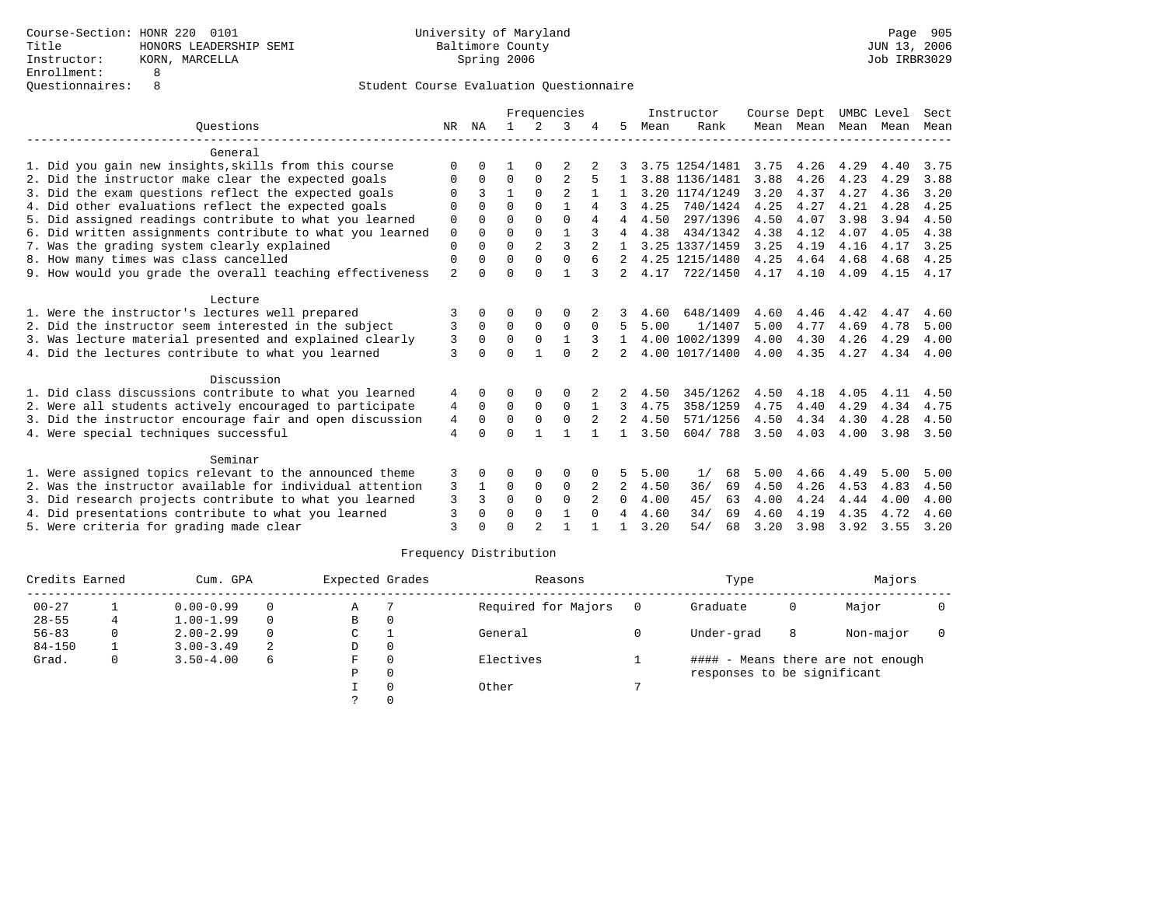|                                                           |                |          |             |                | Frequencies    |          |              |      | Instructor     | Course Dept |           | UMBC Level |      | Sect |
|-----------------------------------------------------------|----------------|----------|-------------|----------------|----------------|----------|--------------|------|----------------|-------------|-----------|------------|------|------|
| Ouestions                                                 | NR             | ΝA       |             | 2              | २              |          | 5            | Mean | Rank           |             | Mean Mean | Mean       | Mean | Mean |
| General                                                   |                |          |             |                |                |          |              |      |                |             |           |            |      |      |
| 1. Did you gain new insights, skills from this course     | <sup>0</sup>   |          |             |                |                |          |              |      | 3.75 1254/1481 | 3.75        | 4.26      | 4.29       | 4.40 | 3.75 |
| 2. Did the instructor make clear the expected goals       | O              | $\Omega$ | $\Omega$    | $\Omega$       |                |          |              |      | 3.88 1136/1481 | 3.88        | 4.26      | 4.23       | 4.29 | 3.88 |
| 3. Did the exam questions reflect the expected goals      |                | 3        |             | $\Omega$       | $\mathfrak{D}$ |          |              |      | 3.20 1174/1249 | 3.20        | 4.37      | 4.27       | 4.36 | 3.20 |
| 4. Did other evaluations reflect the expected goals       | ∩              | $\cap$   | $\cap$      | $\cap$         |                | 4        |              | 4.25 | 740/1424       | 4.25        | 4.27      | 4.21       | 4.28 | 4.25 |
| 5. Did assigned readings contribute to what you learned   | $\Omega$       |          | $\Omega$    |                | $\cap$         | 4        | 4            | 4.50 | 297/1396       | 4.50        | 4.07      | 3.98       | 3.94 | 4.50 |
| 6. Did written assignments contribute to what you learned | $\mathbf 0$    | $\Omega$ | $\mathbf 0$ | $\Omega$       |                |          | 4            | 4.38 | 434/1342       | 4.38        | 4.12      | 4.07       | 4.05 | 4.38 |
| 7. Was the grading system clearly explained               | $\Omega$       | $\cap$   | $\Omega$    | $\overline{a}$ | 3              |          |              |      | 3.25 1337/1459 | 3.25        | 4.19      | 4.16       | 4.17 | 3.25 |
| 8. How many times was class cancelled                     | $\Omega$       |          | $\Omega$    |                | $\Omega$       |          |              |      | 4.25 1215/1480 | 4.25        | 4.64      | 4.68       | 4.68 | 4.25 |
| 9. How would you grade the overall teaching effectiveness | $\overline{a}$ | $\Omega$ | $\Omega$    | $\cap$         |                |          | 2            | 4.17 | 722/1450       | 4.17        | 4.10      | 4.09       | 4.15 | 4.17 |
| Lecture                                                   |                |          |             |                |                |          |              |      |                |             |           |            |      |      |
| 1. Were the instructor's lectures well prepared           | 3              | $\Omega$ |             |                | 0              |          |              | 4.60 | 648/1409       | 4.60        | 4.46      | 4.42       | 4.47 | 4.60 |
| 2. Did the instructor seem interested in the subject      | 3              | $\Omega$ | $\Omega$    | $\Omega$       | $\Omega$       | $\Omega$ |              | 5.00 | 1/1407         | 5.00        | 4.77      | 4.69       | 4.78 | 5.00 |
| 3. Was lecture material presented and explained clearly   | 3              | $\Omega$ | $\Omega$    | $\Omega$       |                |          |              |      | 4.00 1002/1399 | 4.00        | 4.30      | 4.26       | 4.29 | 4.00 |
| 4. Did the lectures contribute to what you learned        | 3              | $\Omega$ | $\Omega$    |                | $\Omega$       |          |              |      | 4.00 1017/1400 | 4.00        | 4.35      | 4.27       | 4.34 | 4.00 |
| Discussion                                                |                |          |             |                |                |          |              |      |                |             |           |            |      |      |
| 1. Did class discussions contribute to what you learned   | 4              |          |             |                | $\Omega$       |          |              | 4.50 | 345/1262       | 4.50        | 4.18      | 4.05       | 4.11 | 4.50 |
| 2. Were all students actively encouraged to participate   | 4              | $\Omega$ | 0           | $\mathbf 0$    | $\Omega$       |          | 3            | 4.75 | 358/1259       | 4.75        | 4.40      | 4.29       | 4.34 | 4.75 |
| 3. Did the instructor encourage fair and open discussion  | 4              | O        | $\Omega$    |                |                |          | 2            | 4.50 | 571/1256       | 4.50        | 4.34      | 4.30       | 4.28 | 4.50 |
| 4. Were special techniques successful                     | 4              | U        | $\Omega$    |                |                |          | $\mathbf{1}$ | 3.50 | 604/788        | 3.50        | 4.03      | 4.00       | 3.98 | 3.50 |
| Seminar                                                   |                |          |             |                |                |          |              |      |                |             |           |            |      |      |
| 1. Were assigned topics relevant to the announced theme   | 3              |          |             |                |                |          |              | 5.00 | 1/<br>68       | 5.00        | 4.66      | 4.49       | 5.00 | 5.00 |
| 2. Was the instructor available for individual attention  | 3              | 1        | $\Omega$    | $\Omega$       | $\Omega$       | 2        | 2            | 4.50 | 36/<br>69      | 4.50        | 4.26      | 4.53       | 4.83 | 4.50 |
| 3. Did research projects contribute to what you learned   | 3              | 3        | $\Omega$    | $\Omega$       | $\Omega$       |          | 0            | 4.00 | 45/<br>63      | 4.00        | 4.24      | 4.44       | 4.00 | 4.00 |
| 4. Did presentations contribute to what you learned       | 3              | $\Omega$ | $\Omega$    | $\Omega$       | $\mathbf{1}$   | $\Omega$ | 4            | 4.60 | 34/<br>69      | 4.60        | 4.19      | 4.35       | 4.72 | 4.60 |
| 5. Were criteria for grading made clear                   | ζ              |          | ∩           | $\mathfrak{D}$ |                |          |              | 3.20 | 54/<br>68      | 3.20        | 3.98      | 3.92       | 3.55 | 3.20 |

| Credits Earned |              | Cum. GPA      |          | Expected Grades |          | Reasons             | Type                        |   | Majors                            |  |
|----------------|--------------|---------------|----------|-----------------|----------|---------------------|-----------------------------|---|-----------------------------------|--|
| $00 - 27$      |              | $0.00 - 0.99$ | $\Omega$ | Α               |          | Required for Majors | Graduate                    | 0 | Major                             |  |
| $28 - 55$      | 4            | $1.00 - 1.99$ | $\Omega$ | В               | 0        |                     |                             |   |                                   |  |
| $56 - 83$      | 0            | $2.00 - 2.99$ | $\Omega$ | $\mathsf{C}$    |          | General             | Under-grad                  | 8 | Non-major                         |  |
| $84 - 150$     |              | $3.00 - 3.49$ | 2        | D               | $\Omega$ |                     |                             |   |                                   |  |
| Grad.          | $\mathbf{0}$ | $3.50 - 4.00$ | 6        | F.              | $\Omega$ | Electives           |                             |   | #### - Means there are not enough |  |
|                |              |               |          | Ρ               | $\Omega$ |                     | responses to be significant |   |                                   |  |
|                |              |               |          |                 |          | Other               |                             |   |                                   |  |
|                |              |               |          |                 |          |                     |                             |   |                                   |  |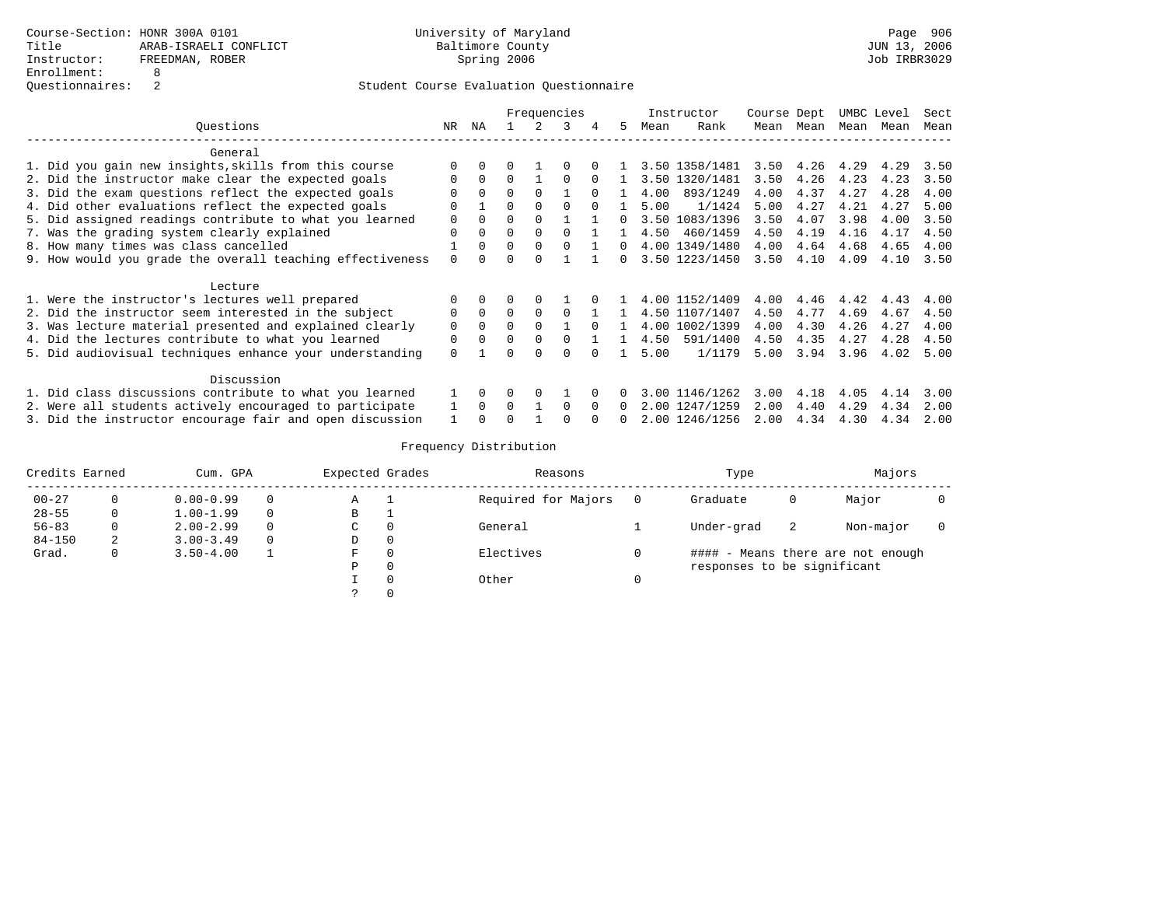|                                                           |             |          |          |          | Frequencies |              |          |      | Instructor     | Course Dept |      | UMBC Level |      | Sect |
|-----------------------------------------------------------|-------------|----------|----------|----------|-------------|--------------|----------|------|----------------|-------------|------|------------|------|------|
| Questions                                                 | NR          | ΝA       |          |          |             | 4            | 5.       | Mean | Rank           | Mean        | Mean | Mean       | Mean | Mean |
| General                                                   |             |          |          |          |             |              |          |      |                |             |      |            |      |      |
| 1. Did you gain new insights, skills from this course     |             |          |          |          |             |              |          |      | 3.50 1358/1481 | 3.50        | 4.26 | 4.29       | 4.29 | 3.50 |
| 2. Did the instructor make clear the expected goals       | $\Omega$    | $\Omega$ | $\Omega$ |          | $\Omega$    | <sup>0</sup> |          |      | 3.50 1320/1481 | 3.50        | 4.26 | 4.23       | 4.23 | 3.50 |
| 3. Did the exam questions reflect the expected goals      | O           | $\Omega$ | $\Omega$ | $\Omega$ |             | $\Omega$     |          | 4.00 | 893/1249       | 4.00        | 4.37 | 4.27       | 4.28 | 4.00 |
| 4. Did other evaluations reflect the expected goals       | $\Omega$    |          | $\Omega$ | $\Omega$ | $\Omega$    | $\cap$       |          | 5.00 | 1/1424         | 5.00        | 4.27 | 4.21       | 4.27 | 5.00 |
| 5. Did assigned readings contribute to what you learned   | $\Omega$    | $\Omega$ | 0        | $\Omega$ |             |              |          |      | 3.50 1083/1396 | 3.50        | 4.07 | 3.98       | 4.00 | 3.50 |
| 7. Was the grading system clearly explained               | $\Omega$    | $\Omega$ | $\Omega$ | $\Omega$ |             |              |          | 4.50 | 460/1459       | 4.50        | 4.19 | 4.16       | 4.17 | 4.50 |
| 8. How many times was class cancelled                     |             | $\Omega$ | $\Omega$ | $\Omega$ |             |              |          | 4.00 | 1349/1480      | 4.00        | 4.64 | 4.68       | 4.65 | 4.00 |
| 9. How would you grade the overall teaching effectiveness | $\Omega$    |          |          |          |             |              | $\Omega$ |      | 3.50 1223/1450 | 3.50        | 4.10 | 4.09       | 4.10 | 3.50 |
| Lecture                                                   |             |          |          |          |             |              |          |      |                |             |      |            |      |      |
| 1. Were the instructor's lectures well prepared           |             |          |          |          |             |              |          |      | 4.00 1152/1409 | 4.00        | 4.46 | 4.42       | 4.43 | 4.00 |
| 2. Did the instructor seem interested in the subject      | $\mathbf 0$ | $\Omega$ | $\Omega$ | $\Omega$ | $\Omega$    |              |          |      | 4.50 1107/1407 | 4.50        | 4.77 | 4.69       | 4.67 | 4.50 |
| 3. Was lecture material presented and explained clearly   | $\Omega$    | $\Omega$ | $\Omega$ | $\Omega$ |             | $\Omega$     |          |      | 4.00 1002/1399 | 4.00        | 4.30 | 4.26       | 4.27 | 4.00 |
| 4. Did the lectures contribute to what you learned        | $\mathbf 0$ | $\Omega$ | $\Omega$ | $\Omega$ | $\Omega$    |              |          | 4.50 | 591/1400       | 4.50        | 4.35 | 4.27       | 4.28 | 4.50 |
| 5. Did audiovisual techniques enhance your understanding  | $\Omega$    |          | ∩        | $\cap$   |             | $\cap$       |          | 5.00 | 1/1179         | 5.00        | 3.94 | 3.96       | 4.02 | 5.00 |
| Discussion                                                |             |          |          |          |             |              |          |      |                |             |      |            |      |      |
| 1. Did class discussions contribute to what you learned   |             | $\Omega$ | $\Omega$ | $\Omega$ |             |              |          |      | 3.00 1146/1262 | 3.00        | 4.18 | 4.05       | 4.14 | 3.00 |
| 2. Were all students actively encouraged to participate   |             | $\Omega$ | $\Omega$ |          | $\Omega$    | $\Omega$     | $\Omega$ |      | 2.00 1247/1259 | 2.00        | 4.40 | 4.29       | 4.34 | 2.00 |
| 3. Did the instructor encourage fair and open discussion  |             |          |          |          |             |              |          |      | 2.00 1246/1256 | 2.00        | 4.34 | 4.30       | 4.34 | 2.00 |

| Credits Earned |          | Cum. GPA      |          | Expected Grades |          | Reasons             | Type                        |    | Majors                            |  |
|----------------|----------|---------------|----------|-----------------|----------|---------------------|-----------------------------|----|-----------------------------------|--|
| $00 - 27$      |          | $0.00 - 0.99$ | $\Omega$ | Α               |          | Required for Majors | Graduate                    | 0  | Major                             |  |
| $28 - 55$      | 0        | $1.00 - 1.99$ | $\Omega$ | В               |          |                     |                             |    |                                   |  |
| $56 - 83$      | $\Omega$ | $2.00 - 2.99$ | $\Omega$ | C               | 0        | General             | Under-grad                  | -2 | Non-major                         |  |
| $84 - 150$     | 2        | $3.00 - 3.49$ | $\Omega$ | D               | $\circ$  |                     |                             |    |                                   |  |
| Grad.          | 0        | $3.50 - 4.00$ |          | F               | $\Omega$ | Electives           |                             |    | #### - Means there are not enough |  |
|                |          |               |          | Ρ               | 0        |                     | responses to be significant |    |                                   |  |
|                |          |               |          |                 | $\Omega$ | Other               |                             |    |                                   |  |
|                |          |               |          |                 | $\Omega$ |                     |                             |    |                                   |  |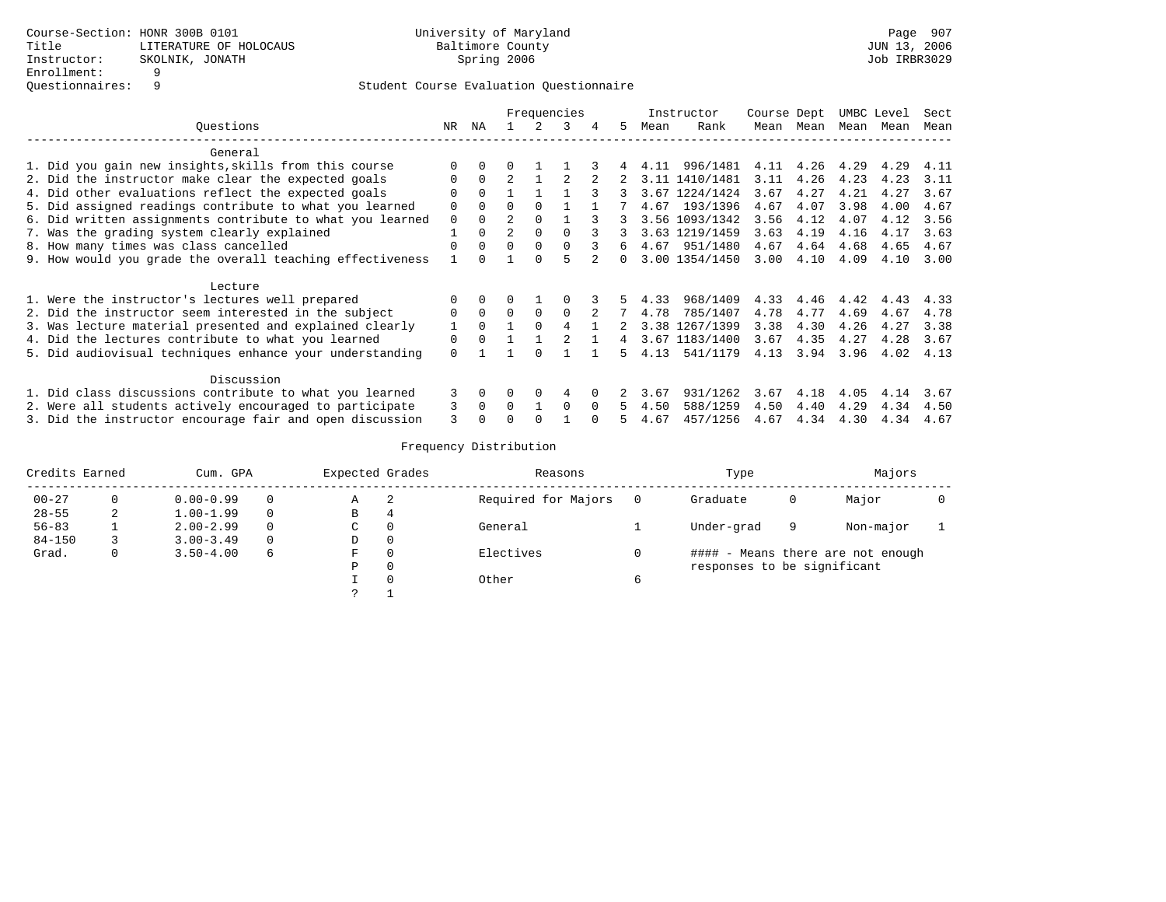|                                                           |          |          |                |              | Frequencies |          |    |      | Instructor     | Course Dept |      | UMBC Level |      | Sect |
|-----------------------------------------------------------|----------|----------|----------------|--------------|-------------|----------|----|------|----------------|-------------|------|------------|------|------|
| Ouestions                                                 | NR       | NA       |                |              | 3           |          | .5 | Mean | Rank           | Mean        | Mean | Mean       | Mean | Mean |
| General                                                   |          |          |                |              |             |          |    |      |                |             |      |            |      |      |
| 1. Did you gain new insights, skills from this course     |          |          |                |              |             |          |    | 4.11 | 996/1481       | 4.11        | 4.26 | 4.29       | 4.29 | 4.11 |
| 2. Did the instructor make clear the expected goals       | $\Omega$ | $\Omega$ |                |              |             |          |    |      | 3.11 1410/1481 | 3.11        | 4.26 | 4.23       | 4.23 | 3.11 |
| 4. Did other evaluations reflect the expected goals       | ∩        | $\Omega$ |                |              |             |          |    |      | 3.67 1224/1424 | 3.67        | 4.27 | 4.21       | 4.27 | 3.67 |
| 5. Did assigned readings contribute to what you learned   | $\Omega$ | $\Omega$ | 0              | <sup>n</sup> |             |          |    | 4.67 | 193/1396       | 4.67        | 4.07 | 3.98       | 4.00 | 4.67 |
| 6. Did written assignments contribute to what you learned | $\Omega$ | 0        |                |              |             |          |    |      | 3.56 1093/1342 | 3.56        | 4.12 | 4.07       | 4.12 | 3.56 |
| 7. Was the grading system clearly explained               |          | 0        | $\overline{2}$ | $\Omega$     |             |          |    |      | 3.63 1219/1459 | 3.63        | 4.19 | 4.16       | 4.17 | 3.63 |
| 8. How many times was class cancelled                     |          |          | $\Omega$       | $\Omega$     |             |          | 6  | 4.67 | 951/1480       | 4.67        | 4.64 | 4.68       | 4.65 | 4.67 |
| 9. How would you grade the overall teaching effectiveness |          |          |                |              |             |          | n. |      | 3.00 1354/1450 | 3.00        | 4.10 | 4.09       | 4.10 | 3.00 |
| Lecture                                                   |          |          |                |              |             |          |    |      |                |             |      |            |      |      |
| 1. Were the instructor's lectures well prepared           |          |          |                |              |             |          |    | 4.33 | 968/1409       | 4.33        | 4.46 | 4.42       | 4.43 | 4.33 |
| 2. Did the instructor seem interested in the subject      | 0        | $\Omega$ | $\Omega$       |              | $\mathbf 0$ |          |    | 4.78 | 785/1407       | 4.78        | 4.77 | 4.69       | 4.67 | 4.78 |
| 3. Was lecture material presented and explained clearly   |          | $\Omega$ |                |              |             |          |    | 3.38 | 1267/1399      | 3.38        | 4.30 | 4.26       | 4.27 | 3.38 |
| 4. Did the lectures contribute to what you learned        | $\Omega$ | $\Omega$ |                |              |             |          | 4  | 3.67 | 1183/1400      | 3.67        | 4.35 | 4.27       | 4.28 | 3.67 |
| 5. Did audiovisual techniques enhance your understanding  | $\Omega$ |          |                |              |             |          | 5. | 4.13 | 541/1179       | 4.13        | 3.94 | 3.96       | 4.02 | 4.13 |
| Discussion                                                |          |          |                |              |             |          |    |      |                |             |      |            |      |      |
| 1. Did class discussions contribute to what you learned   | 3        | $\Omega$ | 0              | 0            | 4           |          |    | 3.67 | 931/1262       | 3.67        | 4.18 | 4.05       | 4.14 | 3.67 |
| 2. Were all students actively encouraged to participate   | 3        | $\Omega$ | $\Omega$       |              | $\Omega$    | $\Omega$ |    | 4.50 | 588/1259       | 4.50        | 4.40 | 4.29       | 4.34 | 4.50 |
| 3. Did the instructor encourage fair and open discussion  | 3        |          |                |              |             |          |    | 4.67 | 457/1256       | 4.67        | 4.34 | 4.30       | 4.34 | 4.67 |

| Credits Earned |   | Cum. GPA      |   | Expected Grades |          | Reasons             |          | Type                        |   | Majors                            |  |
|----------------|---|---------------|---|-----------------|----------|---------------------|----------|-----------------------------|---|-----------------------------------|--|
| $00 - 27$      |   | $0.00 - 0.99$ |   | Α               | 2        | Required for Majors | $\Omega$ | Graduate                    |   | Major                             |  |
| $28 - 55$      | ∠ | $1.00 - 1.99$ |   | В               |          |                     |          |                             |   |                                   |  |
| $56 - 83$      |   | $2.00 - 2.99$ |   | C               | $\Omega$ | General             |          | Under-grad                  | 9 | Non-major                         |  |
| $84 - 150$     |   | $3.00 - 3.49$ |   | D               | 0        |                     |          |                             |   |                                   |  |
| Grad.          | 0 | $3.50 - 4.00$ | 6 | F               | $\Omega$ | Electives           |          |                             |   | #### - Means there are not enough |  |
|                |   |               |   | Ρ               | 0        |                     |          | responses to be significant |   |                                   |  |
|                |   |               |   |                 | $\Omega$ | Other               | 6        |                             |   |                                   |  |
|                |   |               |   | $\mathcal{L}$   |          |                     |          |                             |   |                                   |  |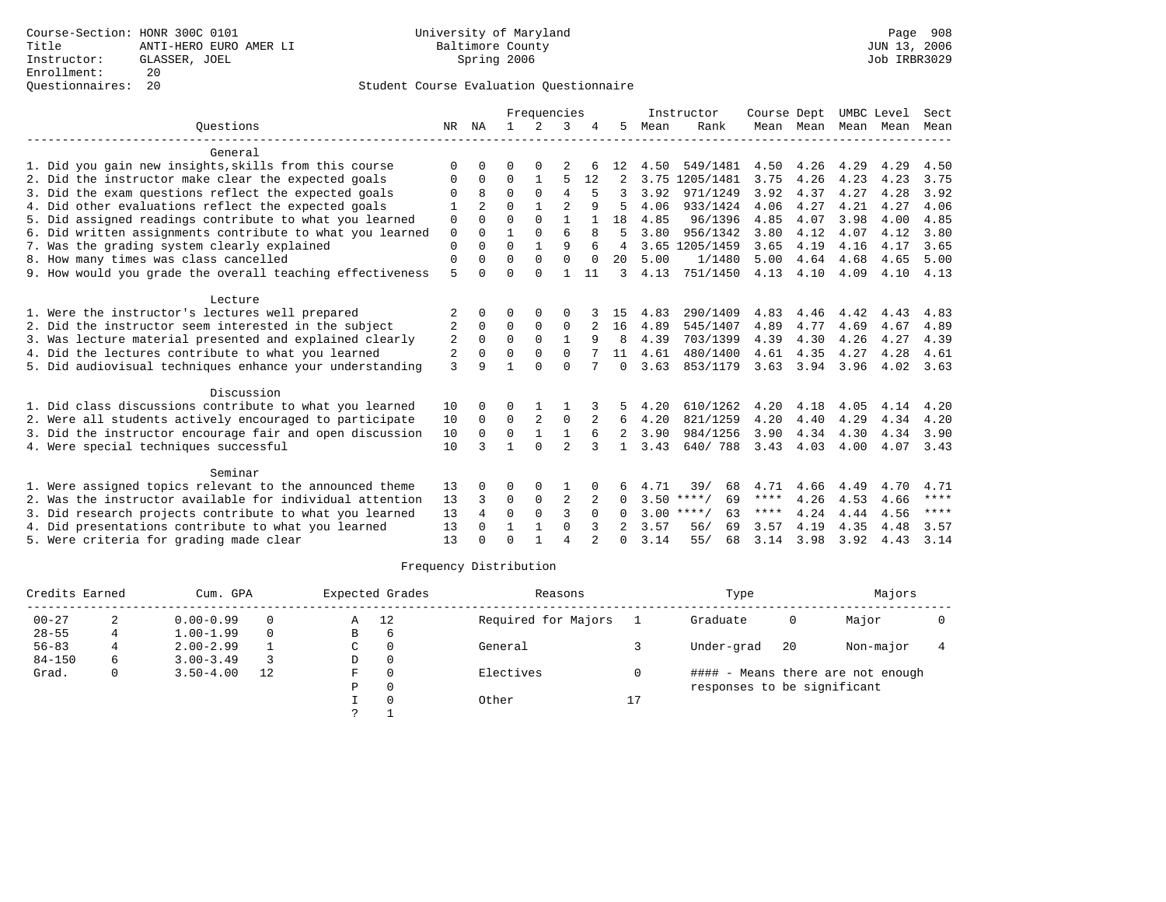## Questionnaires: 20 Student Course Evaluation Questionnaire

|                                                           |                |                |              | Frequencies    |                |          |                |      | Instructor         | Course Dept |           | UMBC Level |      | Sect        |
|-----------------------------------------------------------|----------------|----------------|--------------|----------------|----------------|----------|----------------|------|--------------------|-------------|-----------|------------|------|-------------|
| Ouestions                                                 | NR.            | ΝA             | $\mathbf{1}$ | $\mathcal{L}$  | 3              |          | 5.             | Mean | Rank               |             | Mean Mean | Mean       | Mean | Mean        |
| General                                                   |                |                |              |                |                |          |                |      |                    |             |           |            |      |             |
| 1. Did you gain new insights, skills from this course     | $\Omega$       | $\Omega$       | O            | $\Omega$       |                | 6        | 12             | 4.50 | 549/1481           | 4.50        | 4.26      | 4.29       | 4.29 | 4.50        |
| 2. Did the instructor make clear the expected goals       | $\Omega$       | $\Omega$       | $\Omega$     | 1              | 5              | 12       | 2              | 3.75 | 1205/1481          | 3.75        | 4.26      | 4.23       | 4.23 | 3.75        |
| 3. Did the exam questions reflect the expected goals      | 0              | $\mathsf{R}$   | $\Omega$     | $\Omega$       | 4              |          |                | 3.92 | 971/1249           | 3.92        | 4.37      | 4.27       | 4.28 | 3.92        |
| 4. Did other evaluations reflect the expected goals       | 1              | $\mathfrak{D}$ | $\Omega$     |                | $\overline{a}$ | 9        |                | 4.06 | 933/1424           | 4.06        | 4.27      | 4.21       | 4.27 | 4.06        |
| 5. Did assigned readings contribute to what you learned   | 0              | $\Omega$       | $\Omega$     | $\Omega$       | $\mathbf{1}$   |          | 18             | 4.85 | 96/1396            | 4.85        | 4.07      | 3.98       | 4.00 | 4.85        |
| 6. Did written assignments contribute to what you learned | $\mathbf 0$    | $\Omega$       | $\mathbf{1}$ | $\Omega$       | $\epsilon$     | 8        | 5              | 3.80 | 956/1342           | 3.80        | 4.12      | 4.07       | 4.12 | 3.80        |
| 7. Was the grading system clearly explained               | $\mathbf{0}$   | $\Omega$       | $\Omega$     | $\mathbf{1}$   | 9              | 6        | 4              |      | 3.65 1205/1459     | 3.65        | 4.19      | 4.16       | 4.17 | 3.65        |
| 8. How many times was class cancelled                     | $\mathbf 0$    | $\Omega$       | $\Omega$     | $\Omega$       | $\Omega$       | $\Omega$ | 20             | 5.00 | 1/1480             | 5.00        | 4.64      | 4.68       | 4.65 | 5.00        |
| 9. How would you grade the overall teaching effectiveness | 5              | $\Omega$       | $\Omega$     | $\Omega$       | $\mathbf{1}$   | 11       | 3              | 4.13 | 751/1450           | 4.13        | 4.10      | 4.09       | 4.10 | 4.13        |
| Lecture                                                   |                |                |              |                |                |          |                |      |                    |             |           |            |      |             |
| 1. Were the instructor's lectures well prepared           |                | $\Omega$       | O            | $\Omega$       | 0              |          | 15             | 4.83 | 290/1409           | 4.83        | 4.46      | 4.42       | 4.43 | 4.83        |
| 2. Did the instructor seem interested in the subject      | 2              | $\mathbf 0$    | 0            | $\mathbf 0$    | 0              |          | 16             | 4.89 | 545/1407           | 4.89        | 4.77      | 4.69       | 4.67 | 4.89        |
| 3. Was lecture material presented and explained clearly   | 2              | $\Omega$       | $\Omega$     | $\Omega$       | $\mathbf{1}$   | 9        | 8              | 4.39 | 703/1399           | 4.39        | 4.30      | 4.26       | 4.27 | 4.39        |
| 4. Did the lectures contribute to what you learned        | $\overline{2}$ | $\Omega$       | $\Omega$     | $\Omega$       | $\Omega$       |          | 11             | 4.61 | 480/1400           | 4.61        | 4.35      | 4.27       | 4.28 | 4.61        |
| 5. Did audiovisual techniques enhance your understanding  | 3              | q              |              | $\cap$         | $\Omega$       |          | $\Omega$       | 3.63 | 853/1179           | 3.63        | 3.94      | 3.96       | 4.02 | 3.63        |
| Discussion                                                |                |                |              |                |                |          |                |      |                    |             |           |            |      |             |
| 1. Did class discussions contribute to what you learned   | 10             | 0              | O            |                |                |          |                | 4.20 | 610/1262           | 4.20        | 4.18      | 4.05       | 4.14 | 4.20        |
| 2. Were all students actively encouraged to participate   | 10             | $\Omega$       | $\Omega$     | $\overline{2}$ | $\mathbf 0$    |          | 6              | 4.20 | 821/1259           | 4.20        | 4.40      | 4.29       | 4.34 | 4.20        |
| 3. Did the instructor encourage fair and open discussion  | 10             | $\Omega$       | $\Omega$     | $\mathbf{1}$   | $\mathbf{1}$   | 6        | $\overline{2}$ | 3.90 | 984/1256           | 3.90        | 4.34      | 4.30       | 4.34 | 3.90        |
| 4. Were special techniques successful                     | 10             | ζ              | 1            | $\Omega$       | 2              | 3        |                | 3.43 | 640/788            | 3.43        | 4.03      | 4.00       | 4.07 | 3.43        |
| Seminar                                                   |                |                |              |                |                |          |                |      |                    |             |           |            |      |             |
| 1. Were assigned topics relevant to the announced theme   | 13             |                | O            | $\Omega$       |                |          |                | 4.71 | 39/<br>68          | 4.71        | 4.66      | 4.49       | 4.70 | 4.71        |
| 2. Was the instructor available for individual attention  | 13             | 3              | 0            | 0              | $\overline{2}$ | 2        | $\Omega$       |      | $3.50$ ****/<br>69 | ****        | 4.26      | 4.53       | 4.66 | $***$ * * * |
| 3. Did research projects contribute to what you learned   | 13             | 4              | $\Omega$     | $\Omega$       | 3              | $\Omega$ | $\Omega$       | 3.00 | $***$ /<br>63      | ****        | 4.24      | 4.44       | 4.56 | $***$ * * * |
| 4. Did presentations contribute to what you learned       | 13             | $\Omega$       | 1            | $\mathbf{1}$   | $\Omega$       |          |                | 3.57 | 69<br>56/          | 3.57        | 4.19      | 4.35       | 4.48 | 3.57        |
| 5. Were criteria for grading made clear                   | 13             |                | $\Omega$     | $\mathbf{1}$   | 4              |          | 0              | 3.14 | 55/<br>68          | 3.14        | 3.98      | 3.92       | 4.43 | 3.14        |
|                                                           |                |                |              |                |                |          |                |      |                    |             |           |            |      |             |

| Credits Earned |   | Cum. GPA      |    |    | Expected Grades | Reasons             |    | Type                        |    | Majors                            |  |
|----------------|---|---------------|----|----|-----------------|---------------------|----|-----------------------------|----|-----------------------------------|--|
| $00 - 27$      | 2 | $0.00 - 0.99$ |    | Α  | 12              | Required for Majors |    | Graduate                    | 0  | Major                             |  |
| $28 - 55$      |   | $1.00 - 1.99$ |    | В  | $\overline{6}$  |                     |    |                             |    |                                   |  |
| $56 - 83$      | 4 | $2.00 - 2.99$ |    | C. | 0               | General             |    | Under-grad                  | 20 | Non-major                         |  |
| $84 - 150$     | 6 | $3.00 - 3.49$ |    | D  | 0               |                     |    |                             |    |                                   |  |
| Grad.          | 0 | $3.50 - 4.00$ | 12 | F  | $\Omega$        | Electives           |    |                             |    | #### - Means there are not enough |  |
|                |   |               |    | Ρ  | 0               |                     |    | responses to be significant |    |                                   |  |
|                |   |               |    |    | $\Omega$        | Other               | 17 |                             |    |                                   |  |
|                |   |               |    |    |                 |                     |    |                             |    |                                   |  |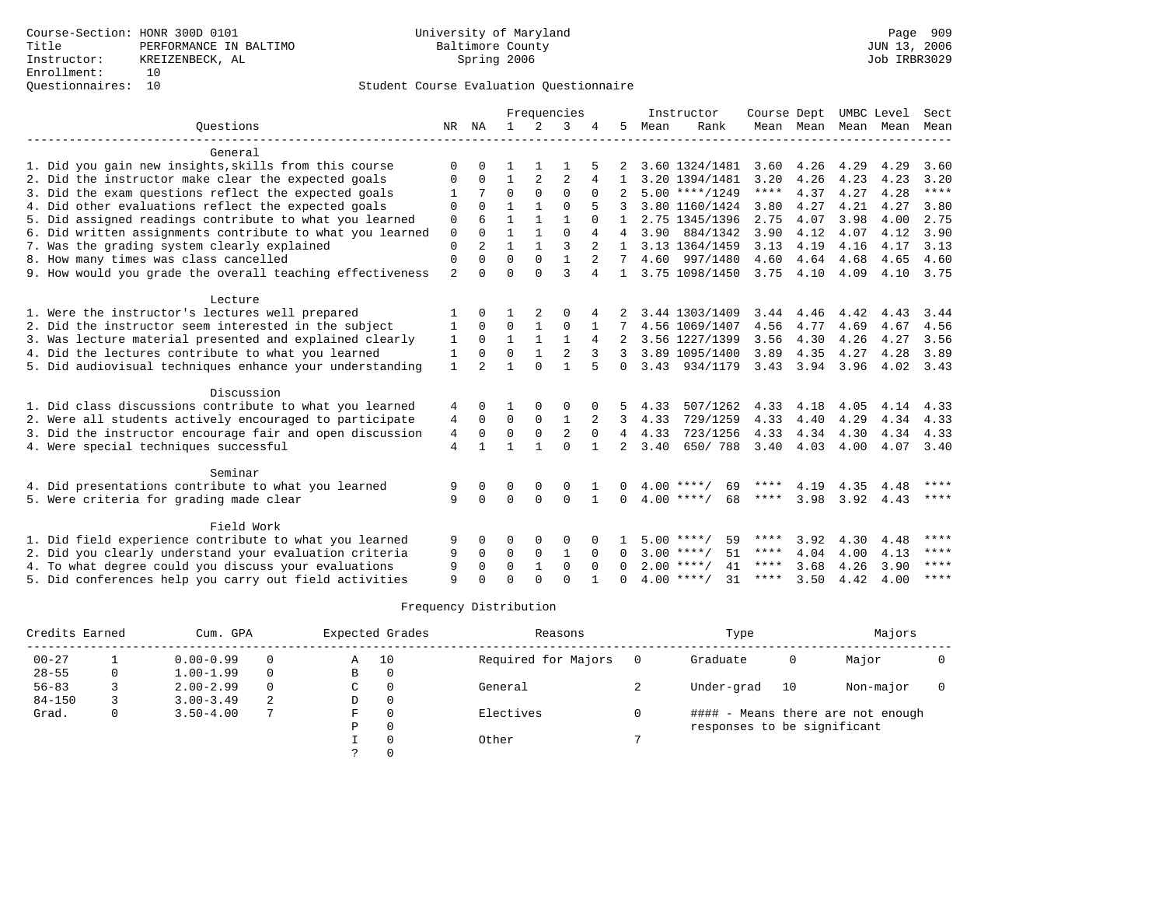## Questionnaires: 10 Student Course Evaluation Questionnaire

|                                                           |                |                      |                      |                | Frequencies    |              |                |      | Instructor                               | Course Dept |      |              | UMBC Level               | Sect          |
|-----------------------------------------------------------|----------------|----------------------|----------------------|----------------|----------------|--------------|----------------|------|------------------------------------------|-------------|------|--------------|--------------------------|---------------|
| Ouestions                                                 | NR             | NA                   | $\mathbf{1}$         | 2              | 3              |              | 5              | Mean | Rank                                     |             |      |              | Mean Mean Mean Mean Mean |               |
|                                                           |                |                      |                      |                |                |              |                |      |                                          |             |      |              |                          |               |
| General                                                   |                |                      |                      |                |                |              |                |      |                                          |             |      |              |                          |               |
| 1. Did you gain new insights, skills from this course     | $\Omega$       |                      |                      |                |                |              |                |      | 3.60 1324/1481                           | 3.60        | 4.26 | 4.29         | 4.29                     | 3.60          |
| 2. Did the instructor make clear the expected goals       | 0              | $\Omega$             |                      | $\overline{2}$ | 2              | 4            |                |      | 3.20 1394/1481                           | 3.20        | 4.26 | 4.23         | 4.23                     | 3.20<br>$***$ |
| 3. Did the exam questions reflect the expected goals      |                | 7                    | $\Omega$             | $\Omega$       | $\Omega$       | $\Omega$     | 2              |      | $5.00$ ****/1249                         | ****        | 4.37 | 4.27         | 4.28                     |               |
| 4. Did other evaluations reflect the expected goals       | $\Omega$       | $\Omega$             |                      |                | $\Omega$       |              |                |      | 3.80 1160/1424                           | 3.80        | 4.27 | 4.21         | 4.27                     | 3.80          |
| 5. Did assigned readings contribute to what you learned   | $\mathbf 0$    |                      |                      |                |                |              |                |      | 2.75 1345/1396                           | 2.75        | 4.07 | 3.98         | 4.00                     | 2.75          |
| 6. Did written assignments contribute to what you learned | $\mathbf 0$    |                      |                      |                | $\Omega$       | 4            | $\overline{4}$ |      | 3.90 884/1342                            | 3.90        | 4.12 | 4.07         | 4.12                     | 3.90          |
| 7. Was the grading system clearly explained               | 0              | $\overline{2}$       |                      |                | 3              |              | $\mathbf{1}$   |      | 3.13 1364/1459                           | 3.13        | 4.19 | 4.16         | 4.17                     | 3.13          |
| 8. How many times was class cancelled                     | $\Omega$       | $\Omega$             | $\Omega$             | $\Omega$       | 1              | $2^{1}$      | $7^{\circ}$    |      | 4.60 997/1480                            | 4.60        | 4.64 | 4.68         | 4.65                     | 4.60          |
| 9. How would you grade the overall teaching effectiveness | $\overline{2}$ | $\cap$               | $\Omega$             | $\cap$         | ζ              | 4            | $\mathbf{1}$   |      | 3.75 1098/1450                           | 3.75        | 4.10 | 4.09         | 4.10                     | 3.75          |
| Lecture                                                   |                |                      |                      |                |                |              |                |      |                                          |             |      |              |                          |               |
| 1. Were the instructor's lectures well prepared           |                |                      |                      | 2              | 0              |              |                |      | 3.44 1303/1409                           | 3.44        | 4.46 | 4.42         | 4.43                     | 3.44          |
| 2. Did the instructor seem interested in the subject      | 1              | $\Omega$             | $\mathbf 0$          |                | $\mathbf 0$    |              |                |      | 4.56 1069/1407                           | 4.56        | 4.77 | 4.69         | 4.67                     | 4.56          |
| 3. Was lecture material presented and explained clearly   | 1              | $\Omega$             | 1                    |                | 1              | 4            | 2              |      | 3.56 1227/1399                           | 3.56        | 4.30 | 4.26         | 4.27                     | 3.56          |
| 4. Did the lectures contribute to what you learned        | 1              | $\Omega$             | $\Omega$             | $\mathbf{1}$   | $\overline{2}$ | 3            | 3              |      | 3.89 1095/1400                           | 3.89        | 4.35 | 4.27         | 4.28                     | 3.89          |
| 5. Did audiovisual techniques enhance your understanding  | $\mathbf{1}$   | $\overline{2}$       |                      | $\Omega$       |                |              | $\Omega$       |      | 3.43 934/1179                            | 3.43        | 3.94 | 3.96         | 4.02                     | 3.43          |
|                                                           |                |                      |                      |                |                |              |                |      |                                          |             |      |              |                          |               |
| Discussion                                                |                |                      |                      |                |                |              |                |      |                                          |             |      |              |                          |               |
| 1. Did class discussions contribute to what you learned   | 4              | <sup>0</sup>         |                      |                | 0              |              |                | 4.33 | 507/1262                                 | 4.33        | 4.18 | 4.05         | 4.14                     | 4.33          |
| 2. Were all students actively encouraged to participate   | 4              | $\Omega$             | $\mathbf 0$          | $\mathbf 0$    | $\mathbf{1}$   | 2            | 3              | 4.33 | 729/1259                                 | 4.33        | 4.40 | 4.29         | 4.34                     | 4.33          |
| 3. Did the instructor encourage fair and open discussion  | 4              | $\mathbf 0$          | 0                    | $\Omega$       | 2              | $\Omega$     | $\overline{4}$ | 4.33 | 723/1256                                 | 4.33        | 4.34 | 4.30         | 4.34                     | 4.33          |
| 4. Were special techniques successful                     | 4              | $\mathbf{1}$         | $\mathbf{1}$         | $\mathbf{1}$   | $\Omega$       | $\mathbf{1}$ | $\overline{2}$ | 3.40 | 650/788                                  | 3.40        | 4.03 | 4.00         | 4.07                     | 3.40          |
| Seminar                                                   |                |                      |                      |                |                |              |                |      |                                          |             |      |              |                          |               |
|                                                           |                |                      |                      |                |                |              |                |      |                                          | ****        | 4.19 |              |                          | ****          |
| 4. Did presentations contribute to what you learned       | 9<br>9         | $\Omega$<br>$\Omega$ | $\Omega$<br>$\Omega$ | 0<br>$\Omega$  | $\Omega$       |              | $\Omega$       |      | $4.00$ ****/<br>69<br>$4.00$ ****/<br>68 | ****        | 3.98 | 4.35<br>3.92 | 4.48                     | $***$ *       |
| 5. Were criteria for grading made clear                   |                |                      |                      |                | $\Omega$       |              |                |      |                                          |             |      |              | 4.43                     |               |
| Field Work                                                |                |                      |                      |                |                |              |                |      |                                          |             |      |              |                          |               |
| 1. Did field experience contribute to what you learned    | 9              | $\Omega$             | $\Omega$             | $\Omega$       | $\Omega$       |              |                |      | 59<br>$5.00$ ****/                       | ****        | 3.92 | 4.30         | 4.48                     | ****          |
| 2. Did you clearly understand your evaluation criteria    | 9              | 0                    | $\mathbf 0$          | $\mathbf 0$    | 1              | $\Omega$     | $\Omega$       |      | $3.00$ ****/<br>51                       | ****        | 4.04 | 4.00         | 4.13                     | $* * * * *$   |
| 4. To what degree could you discuss your evaluations      | 9              | $\Omega$             | $\Omega$             |                | $\Omega$       | $\Omega$     | $\Omega$       |      | $2.00$ ****/<br>41                       | $***$ * *   | 3.68 | 4.26         | 3.90                     | $* * * * *$   |
| 5. Did conferences help you carry out field activities    | 9              |                      | $\Omega$             |                | $\cap$         |              |                |      | $4.00$ ****/<br>31                       | $***$ * *   | 3.50 | 4.42         | 4.00                     | $* * * * *$   |

| Credits Earned |   | Cum. GPA      |          | Expected Grades |          | Reasons             | Type                        |    | Majors                            |  |
|----------------|---|---------------|----------|-----------------|----------|---------------------|-----------------------------|----|-----------------------------------|--|
| $00 - 27$      |   | $0.00 - 0.99$ | $\Omega$ | Α               | 10       | Required for Majors | Graduate                    | 0  | Major                             |  |
| $28 - 55$      | 0 | $1.00 - 1.99$ | $\Omega$ | В               | 0        |                     |                             |    |                                   |  |
| $56 - 83$      |   | $2.00 - 2.99$ | $\Omega$ | C               | 0        | General             | Under-grad                  | 10 | Non-major                         |  |
| $84 - 150$     |   | $3.00 - 3.49$ | -2       | D               | $\circ$  |                     |                             |    |                                   |  |
| Grad.          | 0 | $3.50 - 4.00$ |          | F               | 0        | Electives           |                             |    | #### - Means there are not enough |  |
|                |   |               |          | Ρ               | 0        |                     | responses to be significant |    |                                   |  |
|                |   |               |          |                 | $\Omega$ | Other               |                             |    |                                   |  |
|                |   |               |          |                 | $\Omega$ |                     |                             |    |                                   |  |